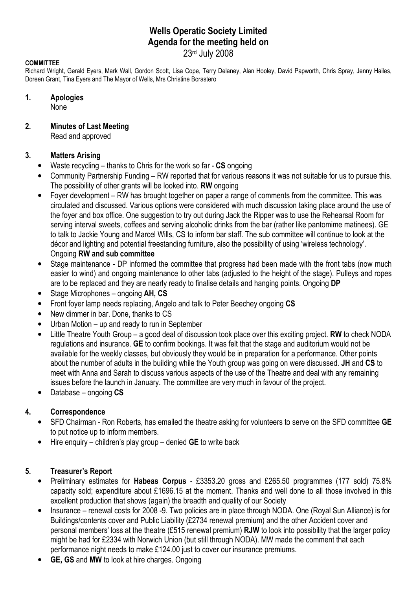# Wells Operatic Society Limited Agenda for the meeting held on

23rd July 2008

### **COMMITTEE**

Richard Wright, Gerald Eyers, Mark Wall, Gordon Scott, Lisa Cope, Terry Delaney, Alan Hooley, David Papworth, Chris Spray, Jenny Hailes, Doreen Grant, Tina Eyers and The Mayor of Wells, Mrs Christine Borastero

#### 1. Apologies

None

## 2. Minutes of Last Meeting

Read and approved

### 3. Matters Arising

- Waste recycling  $-$  thanks to Chris for the work so far  $-$  CS ongoing
- Community Partnership Funding RW reported that for various reasons it was not suitable for us to pursue this. The possibility of other grants will be looked into. RW ongoing
- Foyer development RW has brought together on paper a range of comments from the committee. This was circulated and discussed. Various options were considered with much discussion taking place around the use of the foyer and box office. One suggestion to try out during Jack the Ripper was to use the Rehearsal Room for serving interval sweets, coffees and serving alcoholic drinks from the bar (rather like pantomime matinees). GE to talk to Jackie Young and Marcel Wills, CS to inform bar staff. The sub committee will continue to look at the décor and lighting and potential freestanding furniture, also the possibility of using 'wireless technology'. Ongoing RW and sub committee
- Stage maintenance DP informed the committee that progress had been made with the front tabs (now much easier to wind) and ongoing maintenance to other tabs (adjusted to the height of the stage). Pulleys and ropes are to be replaced and they are nearly ready to finalise details and hanging points. Ongoing DP
- Stage Microphones ongoing **AH, CS**
- Front fover lamp needs replacing. Angelo and talk to Peter Beechey ongoing CS
- New dimmer in bar. Done, thanks to CS
- Urban Motion up and ready to run in September
- Little Theatre Youth Group a good deal of discussion took place over this exciting project. RW to check NODA regulations and insurance. GE to confirm bookings. It was felt that the stage and auditorium would not be available for the weekly classes, but obviously they would be in preparation for a performance. Other points about the number of adults in the building while the Youth group was going on were discussed. JH and CS to meet with Anna and Sarah to discuss various aspects of the use of the Theatre and deal with any remaining issues before the launch in January. The committee are very much in favour of the project.
- Database ongoing CS

## 4. Correspondence

- SFD Chairman Ron Roberts, has emailed the theatre asking for volunteers to serve on the SFD committee GE to put notice up to inform members.
- Hire enquiry children's play group denied  $GE$  to write back

### 5. Treasurer's Report

- Preliminary estimates for Habeas Corpus £3353.20 gross and £265.50 programmes (177 sold) 75.8% capacity sold; expenditure about £1696.15 at the moment. Thanks and well done to all those involved in this excellent production that shows (again) the breadth and quality of our Society
- Insurance renewal costs for 2008 -9. Two policies are in place through NODA. One (Royal Sun Alliance) is for Buildings/contents cover and Public Liability (£2734 renewal premium) and the other Accident cover and personal members' loss at the theatre (£515 renewal premium) RJW to look into possibility that the larger policy might be had for £2334 with Norwich Union (but still through NODA). MW made the comment that each performance night needs to make £124.00 just to cover our insurance premiums.
- **GE, GS and MW to look at hire charges. Ongoing**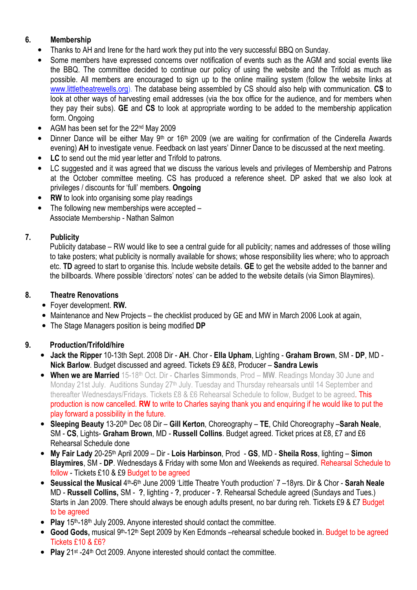# 6. Membership

- Thanks to AH and Irene for the hard work they put into the very successful BBQ on Sunday.
- Some members have expressed concerns over notification of events such as the AGM and social events like the BBQ. The committee decided to continue our policy of using the website and the Trifold as much as possible. All members are encouraged to sign up to the online mailing system (follow the website links at www.littletheatrewells.org). The database being assembled by CS should also help with communication. CS to look at other ways of harvesting email addresses (via the box office for the audience, and for members when they pay their subs). GE and CS to look at appropriate wording to be added to the membership application form. Ongoing
- AGM has been set for the 22nd May 2009
- Dinner Dance will be either May 9<sup>th</sup> or 16<sup>th</sup> 2009 (we are waiting for confirmation of the Cinderella Awards evening) AH to investigate venue. Feedback on last years' Dinner Dance to be discussed at the next meeting.
- LC to send out the mid year letter and Trifold to patrons.
- LC suggested and it was agreed that we discuss the various levels and privileges of Membership and Patrons at the October committee meeting. CS has produced a reference sheet. DP asked that we also look at privileges / discounts for 'full' members. Ongoing
- **RW** to look into organising some play readings
- The following new memberships were accepted Associate Membership - Nathan Salmon

## 7. Publicity

Publicity database – RW would like to see a central guide for all publicity; names and addresses of those willing to take posters; what publicity is normally available for shows; whose responsibility lies where; who to approach etc. TD agreed to start to organise this. Include website details. GE to get the website added to the banner and the billboards. Where possible 'directors' notes' can be added to the website details (via Simon Blaymires).

## 8. Theatre Renovations

- Foyer development. RW.
- Maintenance and New Projects the checklist produced by GE and MW in March 2006 Look at again,
- The Stage Managers position is being modified DP

## 9. Production/Trifold/hire

- Jack the Ripper 10-13th Sept. 2008 Dir AH. Chor Ella Upham, Lighting Graham Brown, SM DP, MD -Nick Barlow. Budget discussed and agreed. Tickets £9 &£8, Producer – Sandra Lewis
- When we are Married 15-18th Oct. Dir Charles Simmonds, Prod MW. Readings Monday 30 June and Monday 21st July. Auditions Sunday 27<sup>th</sup> July. Tuesday and Thursday rehearsals until 14 September and thereafter Wednesdays/Fridays. Tickets £8 & £6 Rehearsal Schedule to follow, Budget to be agreed. This production is now cancelled. RW to write to Charles saying thank you and enquiring if he would like to put the play forward a possibility in the future.
- Sleeping Beauty 13-20<sup>th</sup> Dec 08 Dir Gill Kerton, Choreography TE, Child Choreography Sarah Neale, SM - CS, Lights- Graham Brown, MD - Russell Collins. Budget agreed. Ticket prices at £8, £7 and £6 Rehearsal Schedule done
- My Fair Lady 20-25<sup>th</sup> April 2009 Dir Lois Harbinson, Prod GS, MD Sheila Ross, lighting Simon Blaymires, SM - DP. Wednesdays & Friday with some Mon and Weekends as required. Rehearsal Schedule to follow - Tickets £10 & £9 Budget to be agreed
- Seussical the Musical 4<sup>th</sup>-6<sup>th</sup> June 2009 'Little Theatre Youth production' 7 –18yrs. Dir & Chor Sarah Neale MD - Russell Collins, SM - ?, lighting - ?, producer - ?. Rehearsal Schedule agreed (Sundays and Tues.) Starts in Jan 2009. There should always be enough adults present, no bar during reh. Tickets £9 & £7 Budget to be agreed
- Play  $15<sup>th-18<sup>th</sup></sup>$  July 2009. Anyone interested should contact the committee.
- Good Gods, musical 9<sup>th</sup>-12<sup>th</sup> Sept 2009 by Ken Edmonds –rehearsal schedule booked in. Budget to be agreed Tickets £10 & £6?
- Play 21<sup>st</sup> -24<sup>th</sup> Oct 2009. Anyone interested should contact the committee.